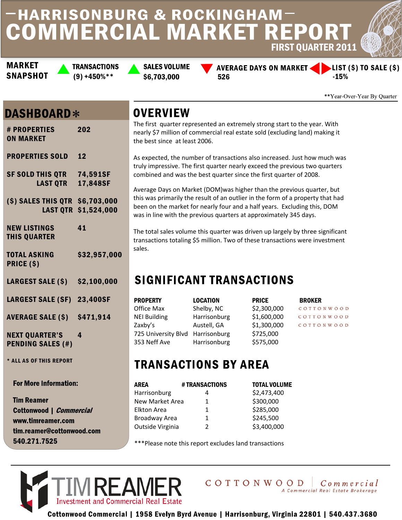## **HARRISONBURG & ROCKINGHAM-COMMERCIAL MARKET REPORT** FIRST QUARTER 2011

**MARKET SNAPSHOT**  **TRANSACTIONS** 

**SALES VOLUME**  $(9) +450\%$ \*\* \$6,703,000 526

**AVERAGE DAYS ON MARKET <** 



\*\*Year-Over-Year By Quarter

 $\overline{D}$ 

### **DASHBOARD\***

| # PROPERTIES<br><b>ON MARKET</b>                   | 202          |
|----------------------------------------------------|--------------|
| <b>PROPERTIES SOLD</b>                             | 12           |
| SF SOLD THIS QTR 74,591SF<br><b>LAST QTR</b>       | 17,848SF     |
| (\$) SALES THIS QTR \$6,703,000<br><b>LAST QTR</b> | \$1,524,000  |
| <b>NEW LISTINGS</b><br><b>THIS QUARTER</b>         | 41           |
| <b>TOTAL ASKING</b><br>PRICE (\$)                  | \$32,957,000 |
| <b>LARGEST SALE (\$)</b>                           | \$2,100,000  |
| LARGEST SALE (SF) 23,400SF                         |              |
| <b>AVERAGE SALE (\$)</b>                           | \$471,914    |
| <b>NEXT QUARTER'S</b><br><b>PENDING SALES (#)</b>  | 4            |

\* ALL AS OF THIS REPORT

**For More Information:** 

**Tim Reamer** Cottonwood | *Commercial* www.timreamer.com tim.reamer@cottonwood.com 540.271.7525

## **OVERVIEW**

The first quarter represented an extremely strong start to the year. With nearly \$7 million of commercial real estate sold (excluding land) making it the best since at least 2006.

As expected, the number of transactions also increased. Just how much was truly impressive. The first quarter nearly exceed the previous two quarters combined and was the best quarter since the first quarter of 2008.

Average Days on Market (DOM)was higher than the previous quarter, but this was primarily the result of an outlier in the form of a property that had been on the market for nearly four and a half years. Excluding this, DOM was in line with the previous quarters at approximately 345 days.

The total sales volume this quarter was driven up largely by three significant transactions totaling \$5 million. Two of these transactions were investment sales.

# **SIGNIFICANT TRANSACTIONS**

| <b>PROPERTY</b>                  | <b>LOCATION</b> | <b>PRICE</b> | <b>BROKER</b> |
|----------------------------------|-----------------|--------------|---------------|
| Office Max                       | Shelby, NC      | \$2,300,000  | COTTONWOOD    |
| <b>NEI Building</b>              | Harrisonburg    | \$1,600,000  | COTTONWOOD    |
| Zaxby's                          | Austell, GA     | \$1,300,000  | COTTONWOOD    |
| 725 University Blvd Harrisonburg |                 | \$725,000    |               |
| 353 Neff Ave                     | Harrisonburg    | \$575,000    |               |

## **TRANSACTIONS BY AREA**

| AREA             | # TRANSACTIONS | <b>TOTAL VOLUME</b> |
|------------------|----------------|---------------------|
| Harrisonburg     | 4              | \$2,473,400         |
| New Market Area  | 1              | \$300,000           |
| Elkton Area      | 1              | \$285,000           |
| Broadway Area    | 1              | \$245,500           |
| Outside Virginia | 2              | \$3,400,000         |

Please note this report excludes land transactions





Cottonwood Commercial | 1958 Evelyn Byrd Avenue | Harrisonburg, Virginia 22801 | 540.437.3680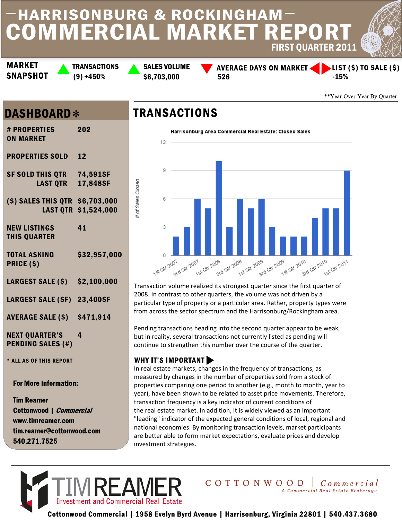# **HARRISONBURG & ROCKINGHAM COMMERCIAL MARKET REPORT** FIRST QUARTER 2011

**MARKET SNAPSHOT**  **TRANSACTIONS** 

**SALES VOLUME**  $(9) +450\%$  \$6,703,000 \$526

**AVERAGE DAYS ON MARKET <** 

LIST (\$) TO SALE (\$) -15%

\*\*Year-Over-Year By Quarter

### **DASHBOARD\***

| <b># PROPERTIES</b><br><b>ON MARKET</b>             | 202          |
|-----------------------------------------------------|--------------|
| <b>PROPERTIES SOLD</b>                              | 12           |
| <b>SF SOLD THIS QTR 74,591SF</b><br><b>LAST OTR</b> | 17,848SF     |
| (\$) SALES THIS QTR \$6,703,000<br><b>LAST QTR</b>  | \$1,524,000  |
| <b>NEW LISTINGS</b><br><b>THIS QUARTER</b>          | 41           |
| <b>TOTAL ASKING</b><br>PRICE (\$)                   | \$32,957,000 |
| <b>LARGEST SALE (\$)</b>                            | \$2,100,000  |
| LARGEST SALE (SF) 23,400SF                          |              |
| <b>AVERAGE SALE (\$) \$471,914</b>                  |              |
| <b>NEXT QUARTER'S</b><br><b>PENDING SALES (#)</b>   | 4            |
| * ALL AS OF THIS REPORT                             |              |
|                                                     |              |

**For More Information:** 

**Tim Reamer** Cottonwood | *Commercial* www.timreamer.com tim.reamer@cottonwood.com 540.271.7525

## **TRANSACTIONS**

of Sales Closed



Transaction volume realized its strongest quarter since the first quarter of 2008. In contrast to other quarters, the volume was not driven by a particular type of property or a particular area. Rather, property types were from across the sector spectrum and the Harrisonburg/Rockingham area.

Pending transactions heading into the second quarter appear to be weak, but in reality, several transactions not currently listed as pending will continue to strengthen this number over the course of the quarter.

#### **WHY IT'S IMPORTANT**

In real estate markets, changes in the frequency of transactions, as measured by changes in the number of properties sold from a stock of properties comparing one period to another (e.g., month to month, year to year), have been shown to be related to asset price movements. Therefore, transaction frequency is a key indicator of current conditions of the real estate market. In addition, it is widely viewed as an important "leading" indicator of the expected general conditions of local, regional and national economies. By monitoring transaction levels, market participants are better able to form market expectations, evaluate prices and develop investment strategies.



# Cottonwood Commercial | 1958 Evelyn Byrd Avenue | Harrisonburg, Virginia 22801 | 540.437.3680

COTTONWOOD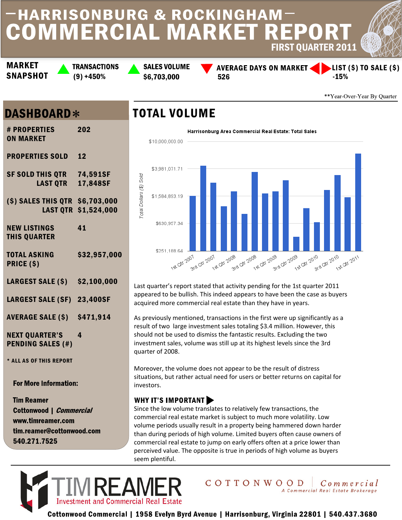# **HARRISONBURG & ROCKINGHAM COMMERCIAL MARKET REPORT** FIRST QUARTER 2011

**MARKET SNAPSHOT**  **TRANSACTIONS** 

**SALES VOLUME**  $(9) +450\%$  \$6,703,000 \$526

**AVERAGE DAYS ON MARKET <** 



\*\*Year-Over-Year By Quarter

Commercial

#### **DASHBOARD\***

| <b># PROPERTIES</b><br><b>ON MARKET</b>             | 202                  |
|-----------------------------------------------------|----------------------|
| <b>PROPERTIES SOLD</b>                              | 12                   |
| <b>SF SOLD THIS QTR 74,591SF</b><br><b>LAST QTR</b> | 17,848SF             |
| (\$) SALES THIS QTR \$6,703,000                     | LAST QTR \$1,524,000 |
| <b>NEW LISTINGS</b><br><b>THIS QUARTER</b>          | 41                   |
| <b>TOTAL ASKING</b><br>PRICE (\$)                   | \$32,957,000         |
| <b>LARGEST SALE (\$)</b>                            | \$2,100,000          |
| LARGEST SALE (SF) 23,400SF                          |                      |
| <b>AVERAGE SALE (\$)</b>                            | \$471,914            |
| <b>NEXT QUARTER'S</b><br><b>PENDING SALES (#)</b>   | 4                    |
| * ALL AS OF THIS REPORT                             |                      |
|                                                     |                      |

**For More Information:** 

**Tim Reamer** Cottonwood | *Commercial* www.timreamer.com tim.reamer@cottonwood.com 540.271.7525

#### **TOTAL VOLUME**



Last quarter's report stated that activity pending for the 1st quarter 2011 appeared to be bullish. This indeed appears to have been the case as buyers acquired more commercial real estate than they have in years.

As previously mentioned, transactions in the first were up significantly as a result of two large investment sales totaling \$3.4 million. However, this should not be used to dismiss the fantastic results. Excluding the two investment sales, volume was still up at its highest levels since the 3rd quarter of 2008.

Moreover, the volume does not appear to be the result of distress situations, but rather actual need for users or better returns on capital for investors.

#### **WHY IT'S IMPORTANT**

Since the low volume translates to relatively few transactions, the commercial real estate market is subject to much more volatility. Low volume periods usually result in a property being hammered down harder than during periods of high volume. Limited buyers often cause owners of commercial real estate to jump on early offers often at a price lower than perceived value. The opposite is true in periods of high volume as buyers seem plentiful.

COTTONWOOD



Cottonwood Commercial | 1958 Evelyn Byrd Avenue | Harrisonburg, Virginia 22801 | 540.437.3680